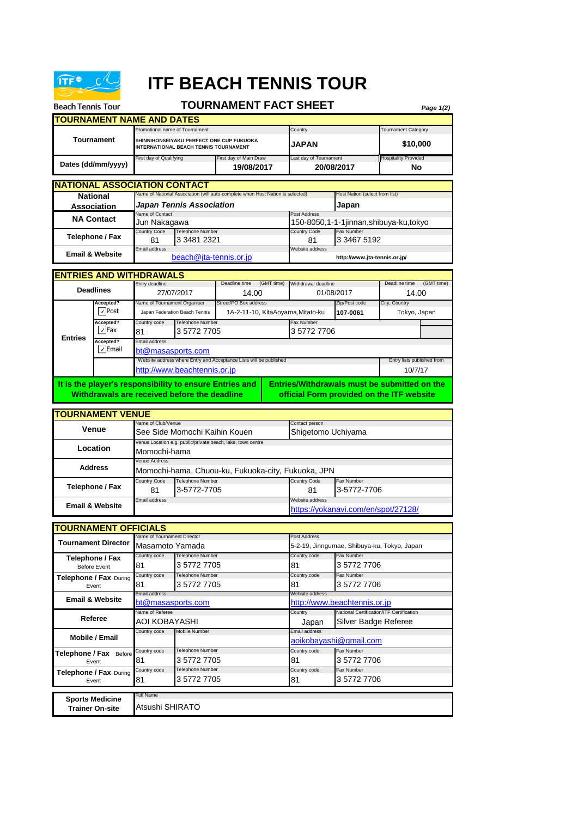

**Beach Tennis Tour** 

## **ITF BEACH TENNIS TOUR**

## **TOURNAMENT FACT SHEET**

*Page 1(2)*

**TOURNAMENT NAME AND DATES** Promotional name of Tournament **Category** Country Country **Tournament Category** Tournament Category irst day of Qualifying First day of Main Draw Last day of Tournament **NATIONAL ASSOCIATION CONTACT** Name of Contact **Post Address** untry Code Telephone Number Country Code Fax Number 81 3 3481 2321 81 Email address Website address **ENTRIES AND WITHDRAWALS** Entry deadline **With American COMT time** (GMT time) Withdrawal deadline **COMT** time (GMT time) **Accepted 2** Accepted 2 Accepted 2 Accepted 2 Accepted 2 Accepted 2 Accepted 2 Accepted 2 Accepted 2 Accepted 2 Accepted 2 Accepted 2 Accepted 2 Accepted 2 Accepted 2 Accepted 2 Accepted 2 Accepted 2 Accepted 2 Accepted 2 **107-0061 Accepted?** Country code Telephone Number Fax Number Fax Number 81 **Accepted?** Email address **TOURNAMENT VENUE** name of Club/Venue Contact person contact person contact person contact person contact person contact person contact person contact person contact person contact person contact person contact person contact person contact venue Location e.g. public/private beach, lake, town centr **Entries It is the player's responsibility to ensure Entries and Withdrawals are received before the deadline Entries/Withdrawals must be submitted on the official Form provided on the ITF website Tournament Dates (dd/mm/yyyy) NA Contact Telephone / Fax Email & Website** 27/07/2017 14.00 [b](mailto:beach@jta-tennis.or.jp)each@jta-tennis.or.jp **http://www.jta-tennis.or.jp/** Japan Federation Beach Tennis 1A-2-11-10, KitaAoyama,Mitato-ku 107-0061 Tokyo, Japan Name of National Association (will auto-complete when Host Nation is selected) 150-8050,1-1-1jinnan,shibuya-ku,tokyo **SHINNIHONSEIYAKU PERFECT ONE CUP FUKUOKA INTERNATIONAL BEACH TENNIS TOURNAMENT** [http://www.](http://www.beachtennis.or.jp/)beachtennis.or.jp **No Venue Location Address National Association Deadlines** Jun Nakagawa 3 3467 5192 01/08/2017 **JAPAN \$10,000** 3 5772 7705 3 5772 7706 Momochi-hama enue Addre *Japan Tennis Association* Host Nation (select from list) **Japan 19/08/2017 20/08/2017** 14.00 Website address where Entry and Acceptance Lists will be published **Entry lists published Format Entry lists published f** 10/7/17 [bt@masasp](mailto:bt@masasports.com)orts.com See Side Momochi Kaihin Kouen Shigetomo Uchiyama  $\sqrt{}$  Post  $\sqrt{\phantom{a}}$ Fax  $\sqrt{\mathsf{E}}$ mail

ountry Code Telephone Number Country Code 81 81 3-5772-7705 3-5772-7706 Email address Website address **Telephone / Fax Email & Website** Momochi-hama, Chuou-ku, Fukuoka-city, Fukuoka, JPN [https://yokan](https://yokanavi.com/en/spot/27128/)avi.com/en/spot/27128/

| <b>TOURNAMENT OFFICIALS</b>                  |                             |                         |                 |                                             |  |  |  |
|----------------------------------------------|-----------------------------|-------------------------|-----------------|---------------------------------------------|--|--|--|
| <b>Tournament Director</b>                   | Name of Tournament Director |                         | Post Address    |                                             |  |  |  |
|                                              | Masamoto Yamada             |                         |                 | 5-2-19, Jinngumae, Shibuya-ku, Tokyo, Japan |  |  |  |
| Telephone / Fax                              | Country code                | Telephone Number        | Country code    | Fax Number                                  |  |  |  |
| <b>Before Event</b>                          | 81                          | 3 5772 7705             | 81              | 357727706                                   |  |  |  |
| Telephone / Fax During<br>Event              | Country code                | <b>Telephone Number</b> | Country code    | Fax Number                                  |  |  |  |
|                                              | 81                          | 3 5772 7705             | 81              | 3 5772 7706                                 |  |  |  |
| <b>Email &amp; Website</b>                   | Email address               |                         | Website address |                                             |  |  |  |
|                                              | bt@masasports.com           |                         |                 | http://www.beachtennis.or.jp                |  |  |  |
| Referee                                      | Name of Referee             |                         | Country         | National Certification/ITF Certification    |  |  |  |
|                                              | AOI KOBAYASHI               |                         | Japan           | Silver Badge Referee                        |  |  |  |
| Mobile / Email                               | Country code                | <b>Mobile Number</b>    | Email address   |                                             |  |  |  |
|                                              |                             |                         |                 | aoikobayashi@gmail.com                      |  |  |  |
| <b>Telephone / Fax</b> Before<br>81<br>Event | Country code                | Telephone Number        | Country code    | Fax Number                                  |  |  |  |
|                                              |                             | 3 5772 7705             | 81              | 357727706                                   |  |  |  |
| Telephone / Fax During<br>Event              | Country code                | <b>Telephone Number</b> | Country code    | Fax Number                                  |  |  |  |
|                                              | 81                          | 3 5772 7705             | 81              | 3 5772 7706                                 |  |  |  |
|                                              | Full Name                   |                         |                 |                                             |  |  |  |
| <b>Sports Medicine</b>                       |                             |                         |                 |                                             |  |  |  |
| <b>Trainer On-site</b>                       | Atsushi SHIRATO             |                         |                 |                                             |  |  |  |